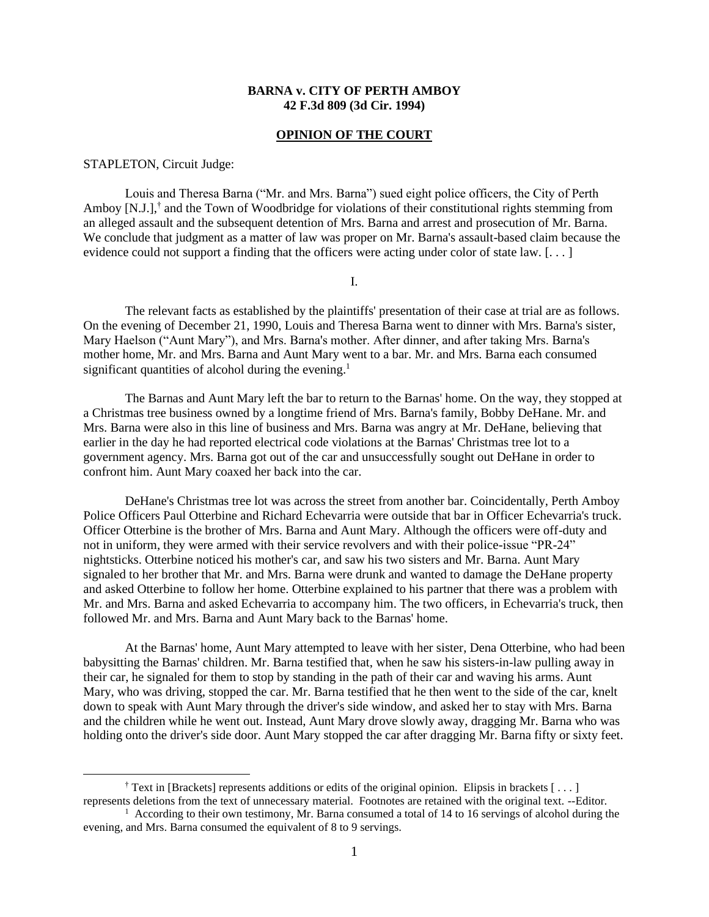## **BARNA v. CITY OF PERTH AMBOY 42 F.3d 809 (3d Cir. 1994)**

## **OPINION OF THE COURT**

## STAPLETON, Circuit Judge:

Louis and Theresa Barna ("Mr. and Mrs. Barna") sued eight police officers, the City of Perth Amboy [N.J.],<sup>†</sup> and the Town of Woodbridge for violations of their constitutional rights stemming from an alleged assault and the subsequent detention of Mrs. Barna and arrest and prosecution of Mr. Barna. We conclude that judgment as a matter of law was proper on Mr. Barna's assault-based claim because the evidence could not support a finding that the officers were acting under color of state law. [...]

I.

The relevant facts as established by the plaintiffs' presentation of their case at trial are as follows. On the evening of December 21, 1990, Louis and Theresa Barna went to dinner with Mrs. Barna's sister, Mary Haelson ("Aunt Mary"), and Mrs. Barna's mother. After dinner, and after taking Mrs. Barna's mother home, Mr. and Mrs. Barna and Aunt Mary went to a bar. Mr. and Mrs. Barna each consumed significant quantities of alcohol during the evening.<sup>1</sup>

The Barnas and Aunt Mary left the bar to return to the Barnas' home. On the way, they stopped at a Christmas tree business owned by a longtime friend of Mrs. Barna's family, Bobby DeHane. Mr. and Mrs. Barna were also in this line of business and Mrs. Barna was angry at Mr. DeHane, believing that earlier in the day he had reported electrical code violations at the Barnas' Christmas tree lot to a government agency. Mrs. Barna got out of the car and unsuccessfully sought out DeHane in order to confront him. Aunt Mary coaxed her back into the car.

DeHane's Christmas tree lot was across the street from another bar. Coincidentally, Perth Amboy Police Officers Paul Otterbine and Richard Echevarria were outside that bar in Officer Echevarria's truck. Officer Otterbine is the brother of Mrs. Barna and Aunt Mary. Although the officers were off-duty and not in uniform, they were armed with their service revolvers and with their police-issue "PR-24" nightsticks. Otterbine noticed his mother's car, and saw his two sisters and Mr. Barna. Aunt Mary signaled to her brother that Mr. and Mrs. Barna were drunk and wanted to damage the DeHane property and asked Otterbine to follow her home. Otterbine explained to his partner that there was a problem with Mr. and Mrs. Barna and asked Echevarria to accompany him. The two officers, in Echevarria's truck, then followed Mr. and Mrs. Barna and Aunt Mary back to the Barnas' home.

At the Barnas' home, Aunt Mary attempted to leave with her sister, Dena Otterbine, who had been babysitting the Barnas' children. Mr. Barna testified that, when he saw his sisters-in-law pulling away in their car, he signaled for them to stop by standing in the path of their car and waving his arms. Aunt Mary, who was driving, stopped the car. Mr. Barna testified that he then went to the side of the car, knelt down to speak with Aunt Mary through the driver's side window, and asked her to stay with Mrs. Barna and the children while he went out. Instead, Aunt Mary drove slowly away, dragging Mr. Barna who was holding onto the driver's side door. Aunt Mary stopped the car after dragging Mr. Barna fifty or sixty feet.

<sup>&</sup>lt;sup>†</sup> Text in [Brackets] represents additions or edits of the original opinion. Elipsis in brackets [...] represents deletions from the text of unnecessary material. Footnotes are retained with the original text. --Editor.

<sup>&</sup>lt;sup>1</sup> According to their own testimony, Mr. Barna consumed a total of 14 to 16 servings of alcohol during the evening, and Mrs. Barna consumed the equivalent of 8 to 9 servings.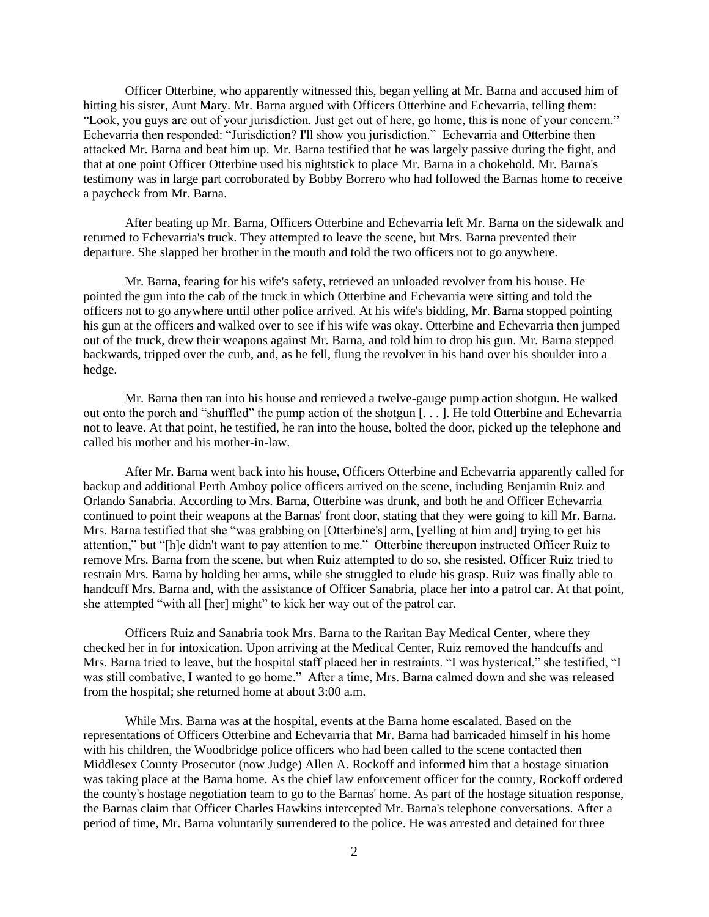Officer Otterbine, who apparently witnessed this, began yelling at Mr. Barna and accused him of hitting his sister, Aunt Mary. Mr. Barna argued with Officers Otterbine and Echevarria, telling them: "Look, you guys are out of your jurisdiction. Just get out of here, go home, this is none of your concern." Echevarria then responded: "Jurisdiction? I'll show you jurisdiction." Echevarria and Otterbine then attacked Mr. Barna and beat him up. Mr. Barna testified that he was largely passive during the fight, and that at one point Officer Otterbine used his nightstick to place Mr. Barna in a chokehold. Mr. Barna's testimony was in large part corroborated by Bobby Borrero who had followed the Barnas home to receive a paycheck from Mr. Barna.

After beating up Mr. Barna, Officers Otterbine and Echevarria left Mr. Barna on the sidewalk and returned to Echevarria's truck. They attempted to leave the scene, but Mrs. Barna prevented their departure. She slapped her brother in the mouth and told the two officers not to go anywhere.

Mr. Barna, fearing for his wife's safety, retrieved an unloaded revolver from his house. He pointed the gun into the cab of the truck in which Otterbine and Echevarria were sitting and told the officers not to go anywhere until other police arrived. At his wife's bidding, Mr. Barna stopped pointing his gun at the officers and walked over to see if his wife was okay. Otterbine and Echevarria then jumped out of the truck, drew their weapons against Mr. Barna, and told him to drop his gun. Mr. Barna stepped backwards, tripped over the curb, and, as he fell, flung the revolver in his hand over his shoulder into a hedge.

Mr. Barna then ran into his house and retrieved a twelve-gauge pump action shotgun. He walked out onto the porch and "shuffled" the pump action of the shotgun [. . . ]. He told Otterbine and Echevarria not to leave. At that point, he testified, he ran into the house, bolted the door, picked up the telephone and called his mother and his mother-in-law.

After Mr. Barna went back into his house, Officers Otterbine and Echevarria apparently called for backup and additional Perth Amboy police officers arrived on the scene, including Benjamin Ruiz and Orlando Sanabria. According to Mrs. Barna, Otterbine was drunk, and both he and Officer Echevarria continued to point their weapons at the Barnas' front door, stating that they were going to kill Mr. Barna. Mrs. Barna testified that she "was grabbing on [Otterbine's] arm, [yelling at him and] trying to get his attention," but "[h]e didn't want to pay attention to me." Otterbine thereupon instructed Officer Ruiz to remove Mrs. Barna from the scene, but when Ruiz attempted to do so, she resisted. Officer Ruiz tried to restrain Mrs. Barna by holding her arms, while she struggled to elude his grasp. Ruiz was finally able to handcuff Mrs. Barna and, with the assistance of Officer Sanabria, place her into a patrol car. At that point, she attempted "with all [her] might" to kick her way out of the patrol car.

Officers Ruiz and Sanabria took Mrs. Barna to the Raritan Bay Medical Center, where they checked her in for intoxication. Upon arriving at the Medical Center, Ruiz removed the handcuffs and Mrs. Barna tried to leave, but the hospital staff placed her in restraints. "I was hysterical," she testified, "I was still combative, I wanted to go home." After a time, Mrs. Barna calmed down and she was released from the hospital; she returned home at about 3:00 a.m.

While Mrs. Barna was at the hospital, events at the Barna home escalated. Based on the representations of Officers Otterbine and Echevarria that Mr. Barna had barricaded himself in his home with his children, the Woodbridge police officers who had been called to the scene contacted then Middlesex County Prosecutor (now Judge) Allen A. Rockoff and informed him that a hostage situation was taking place at the Barna home. As the chief law enforcement officer for the county, Rockoff ordered the county's hostage negotiation team to go to the Barnas' home. As part of the hostage situation response, the Barnas claim that Officer Charles Hawkins intercepted Mr. Barna's telephone conversations. After a period of time, Mr. Barna voluntarily surrendered to the police. He was arrested and detained for three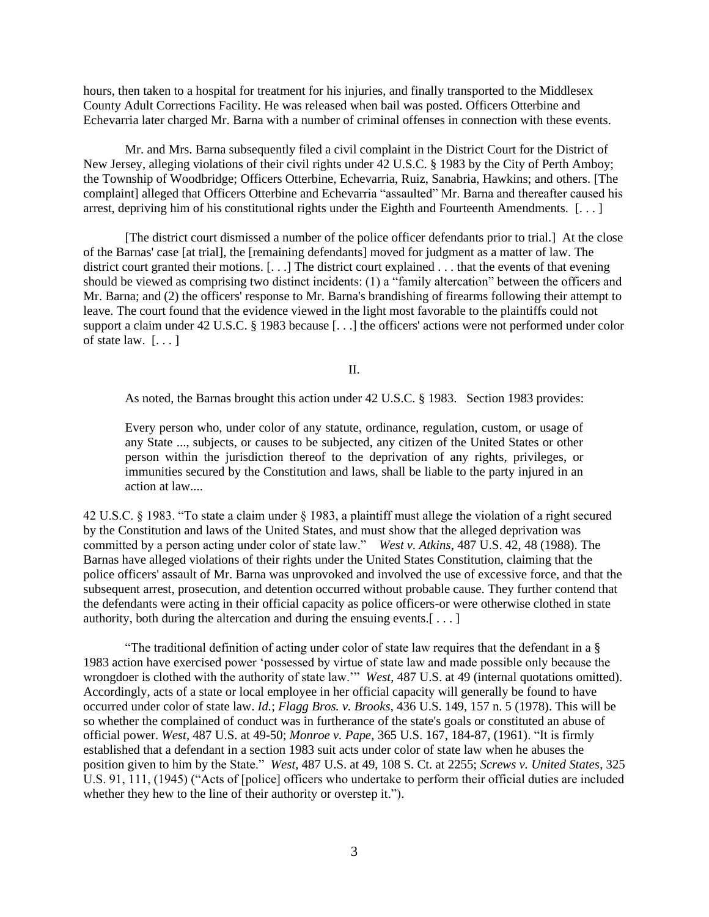hours, then taken to a hospital for treatment for his injuries, and finally transported to the Middlesex County Adult Corrections Facility. He was released when bail was posted. Officers Otterbine and Echevarria later charged Mr. Barna with a number of criminal offenses in connection with these events.

Mr. and Mrs. Barna subsequently filed a civil complaint in the District Court for the District of New Jersey, alleging violations of their civil rights under 42 U.S.C. § 1983 by the City of Perth Amboy; the Township of Woodbridge; Officers Otterbine, Echevarria, Ruiz, Sanabria, Hawkins; and others. [The complaint] alleged that Officers Otterbine and Echevarria "assaulted" Mr. Barna and thereafter caused his arrest, depriving him of his constitutional rights under the Eighth and Fourteenth Amendments.  $[\dots]$ 

[The district court dismissed a number of the police officer defendants prior to trial.] At the close of the Barnas' case [at trial], the [remaining defendants] moved for judgment as a matter of law. The district court granted their motions. [...] The district court explained ... that the events of that evening should be viewed as comprising two distinct incidents: (1) a "family altercation" between the officers and Mr. Barna; and (2) the officers' response to Mr. Barna's brandishing of firearms following their attempt to leave. The court found that the evidence viewed in the light most favorable to the plaintiffs could not support a claim under 42 U.S.C. § 1983 because [...] the officers' actions were not performed under color of state law. [. . . ]

II.

As noted, the Barnas brought this action under 42 U.S.C. § 1983. Section 1983 provides:

Every person who, under color of any statute, ordinance, regulation, custom, or usage of any State ..., subjects, or causes to be subjected, any citizen of the United States or other person within the jurisdiction thereof to the deprivation of any rights, privileges, or immunities secured by the Constitution and laws, shall be liable to the party injured in an action at law....

42 U.S.C. § 1983. "To state a claim under § 1983, a plaintiff must allege the violation of a right secured by the Constitution and laws of the United States, and must show that the alleged deprivation was committed by a person acting under color of state law." *West v. Atkins*, 487 U.S. 42, 48 (1988). The Barnas have alleged violations of their rights under the United States Constitution, claiming that the police officers' assault of Mr. Barna was unprovoked and involved the use of excessive force, and that the subsequent arrest, prosecution, and detention occurred without probable cause. They further contend that the defendants were acting in their official capacity as police officers-or were otherwise clothed in state authority, both during the altercation and during the ensuing events. $[\ldots]$ 

"The traditional definition of acting under color of state law requires that the defendant in a § 1983 action have exercised power 'possessed by virtue of state law and made possible only because the wrongdoer is clothed with the authority of state law.'" *West*, 487 U.S. at 49 (internal quotations omitted). Accordingly, acts of a state or local employee in her official capacity will generally be found to have occurred under color of state law. *Id.*; *Flagg Bros. v. Brooks*, 436 U.S. 149, 157 n. 5 (1978). This will be so whether the complained of conduct was in furtherance of the state's goals or constituted an abuse of official power. *West*, 487 U.S. at 49-50; *Monroe v. Pape*, 365 U.S. 167, 184-87, (1961). "It is firmly established that a defendant in a section 1983 suit acts under color of state law when he abuses the position given to him by the State." *West*, 487 U.S. at 49, 108 S. Ct. at 2255; *Screws v. United States*, 325 U.S. 91, 111, (1945) ("Acts of [police] officers who undertake to perform their official duties are included whether they hew to the line of their authority or overstep it.").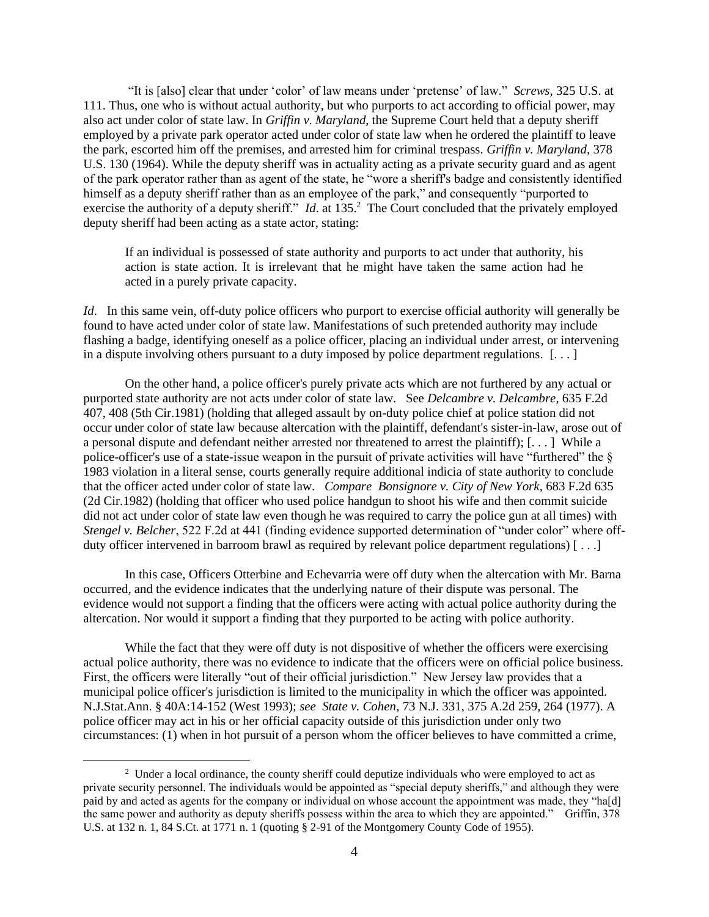"It is [also] clear that under 'color' of law means under 'pretense' of law." *Screws*, 325 U.S. at 111. Thus, one who is without actual authority, but who purports to act according to official power, may also act under color of state law. In *Griffin v. Maryland*, the Supreme Court held that a deputy sheriff employed by a private park operator acted under color of state law when he ordered the plaintiff to leave the park, escorted him off the premises, and arrested him for criminal trespass. *Griffin v. Maryland*, 378 U.S. 130 (1964). While the deputy sheriff was in actuality acting as a private security guard and as agent of the park operator rather than as agent of the state, he "wore a sheriff's badge and consistently identified himself as a deputy sheriff rather than as an employee of the park," and consequently "purported to exercise the authority of a deputy sheriff." *Id*. at 135.<sup>2</sup> The Court concluded that the privately employed deputy sheriff had been acting as a state actor, stating:

If an individual is possessed of state authority and purports to act under that authority, his action is state action. It is irrelevant that he might have taken the same action had he acted in a purely private capacity.

*Id*. In this same vein, off-duty police officers who purport to exercise official authority will generally be found to have acted under color of state law. Manifestations of such pretended authority may include flashing a badge, identifying oneself as a police officer, placing an individual under arrest, or intervening in a dispute involving others pursuant to a duty imposed by police department regulations.  $[\dots]$ 

On the other hand, a police officer's purely private acts which are not furthered by any actual or purported state authority are not acts under color of state law. See *Delcambre v. Delcambre*, 635 F.2d 407, 408 (5th Cir.1981) (holding that alleged assault by on-duty police chief at police station did not occur under color of state law because altercation with the plaintiff, defendant's sister-in-law, arose out of a personal dispute and defendant neither arrested nor threatened to arrest the plaintiff); [. . . ] While a police-officer's use of a state-issue weapon in the pursuit of private activities will have "furthered" the § 1983 violation in a literal sense, courts generally require additional indicia of state authority to conclude that the officer acted under color of state law. *Compare Bonsignore v. City of New York*, 683 F.2d 635 (2d Cir.1982) (holding that officer who used police handgun to shoot his wife and then commit suicide did not act under color of state law even though he was required to carry the police gun at all times) with *Stengel v. Belcher*, 522 F.2d at 441 (finding evidence supported determination of "under color" where offduty officer intervened in barroom brawl as required by relevant police department regulations) [ . . .]

In this case, Officers Otterbine and Echevarria were off duty when the altercation with Mr. Barna occurred, and the evidence indicates that the underlying nature of their dispute was personal. The evidence would not support a finding that the officers were acting with actual police authority during the altercation. Nor would it support a finding that they purported to be acting with police authority.

While the fact that they were off duty is not dispositive of whether the officers were exercising actual police authority, there was no evidence to indicate that the officers were on official police business. First, the officers were literally "out of their official jurisdiction." New Jersey law provides that a municipal police officer's jurisdiction is limited to the municipality in which the officer was appointed. N.J.Stat.Ann. § 40A:14-152 (West 1993); *see State v. Cohen*, 73 N.J. 331, 375 A.2d 259, 264 (1977). A police officer may act in his or her official capacity outside of this jurisdiction under only two circumstances: (1) when in hot pursuit of a person whom the officer believes to have committed a crime,

<sup>&</sup>lt;sup>2</sup> Under a local ordinance, the county sheriff could deputize individuals who were employed to act as private security personnel. The individuals would be appointed as "special deputy sheriffs," and although they were paid by and acted as agents for the company or individual on whose account the appointment was made, they "ha[d] the same power and authority as deputy sheriffs possess within the area to which they are appointed." Griffin, 378 U.S. at 132 n. 1, 84 S.Ct. at 1771 n. 1 (quoting § 2-91 of the Montgomery County Code of 1955).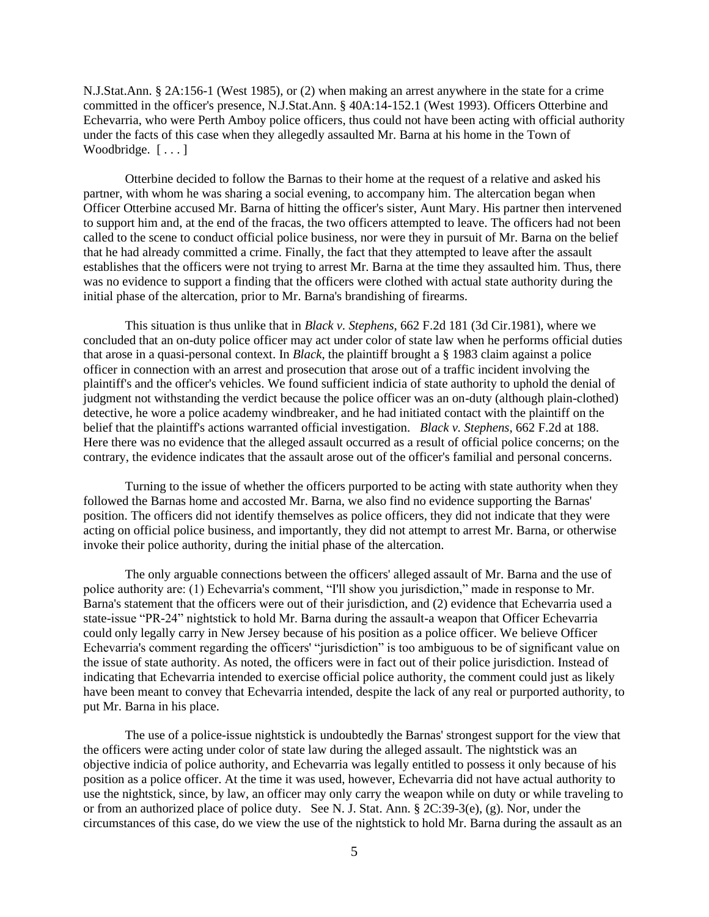N.J.Stat.Ann. § 2A:156-1 (West 1985), or (2) when making an arrest anywhere in the state for a crime committed in the officer's presence, N.J.Stat.Ann. § 40A:14-152.1 (West 1993). Officers Otterbine and Echevarria, who were Perth Amboy police officers, thus could not have been acting with official authority under the facts of this case when they allegedly assaulted Mr. Barna at his home in the Town of Woodbridge. [...]

Otterbine decided to follow the Barnas to their home at the request of a relative and asked his partner, with whom he was sharing a social evening, to accompany him. The altercation began when Officer Otterbine accused Mr. Barna of hitting the officer's sister, Aunt Mary. His partner then intervened to support him and, at the end of the fracas, the two officers attempted to leave. The officers had not been called to the scene to conduct official police business, nor were they in pursuit of Mr. Barna on the belief that he had already committed a crime. Finally, the fact that they attempted to leave after the assault establishes that the officers were not trying to arrest Mr. Barna at the time they assaulted him. Thus, there was no evidence to support a finding that the officers were clothed with actual state authority during the initial phase of the altercation, prior to Mr. Barna's brandishing of firearms.

This situation is thus unlike that in *Black v. Stephens*, 662 F.2d 181 (3d Cir.1981), where we concluded that an on-duty police officer may act under color of state law when he performs official duties that arose in a quasi-personal context. In *Black*, the plaintiff brought a § 1983 claim against a police officer in connection with an arrest and prosecution that arose out of a traffic incident involving the plaintiff's and the officer's vehicles. We found sufficient indicia of state authority to uphold the denial of judgment not withstanding the verdict because the police officer was an on-duty (although plain-clothed) detective, he wore a police academy windbreaker, and he had initiated contact with the plaintiff on the belief that the plaintiff's actions warranted official investigation. *Black v. Stephens*, 662 F.2d at 188. Here there was no evidence that the alleged assault occurred as a result of official police concerns; on the contrary, the evidence indicates that the assault arose out of the officer's familial and personal concerns.

Turning to the issue of whether the officers purported to be acting with state authority when they followed the Barnas home and accosted Mr. Barna, we also find no evidence supporting the Barnas' position. The officers did not identify themselves as police officers, they did not indicate that they were acting on official police business, and importantly, they did not attempt to arrest Mr. Barna, or otherwise invoke their police authority, during the initial phase of the altercation.

The only arguable connections between the officers' alleged assault of Mr. Barna and the use of police authority are: (1) Echevarria's comment, "I'll show you jurisdiction," made in response to Mr. Barna's statement that the officers were out of their jurisdiction, and (2) evidence that Echevarria used a state-issue "PR-24" nightstick to hold Mr. Barna during the assault-a weapon that Officer Echevarria could only legally carry in New Jersey because of his position as a police officer. We believe Officer Echevarria's comment regarding the officers' "jurisdiction" is too ambiguous to be of significant value on the issue of state authority. As noted, the officers were in fact out of their police jurisdiction. Instead of indicating that Echevarria intended to exercise official police authority, the comment could just as likely have been meant to convey that Echevarria intended, despite the lack of any real or purported authority, to put Mr. Barna in his place.

The use of a police-issue nightstick is undoubtedly the Barnas' strongest support for the view that the officers were acting under color of state law during the alleged assault. The nightstick was an objective indicia of police authority, and Echevarria was legally entitled to possess it only because of his position as a police officer. At the time it was used, however, Echevarria did not have actual authority to use the nightstick, since, by law, an officer may only carry the weapon while on duty or while traveling to or from an authorized place of police duty. See N. J. Stat. Ann. § 2C:39-3(e), (g). Nor, under the circumstances of this case, do we view the use of the nightstick to hold Mr. Barna during the assault as an